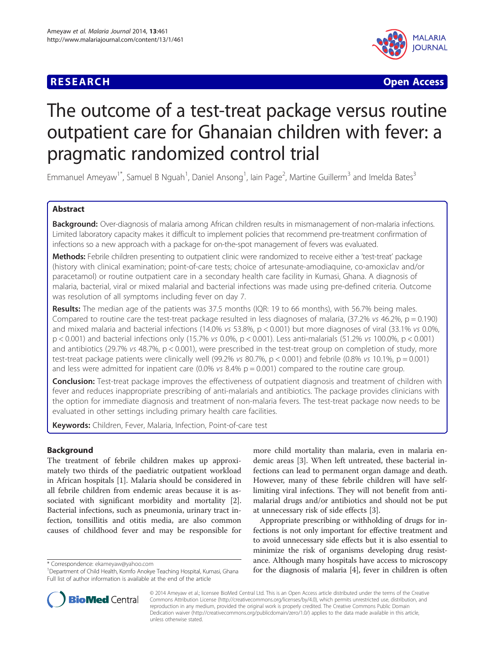# **RESEARCH RESEARCH** *CHECK CHECK CHECK CHECK CHECK CHECK CHECK CHECK CHECK CHECK CHECK CHECK CHECK CHECK CHECK CHECK CHECK CHECK CHECK CHECK CHECK CHECK CHECK CHECK CHECK CHECK CHECK CHECK CHECK CHECK CHECK CHECK CHECK*



# The outcome of a test-treat package versus routine outpatient care for Ghanaian children with fever: a pragmatic randomized control trial

Emmanuel Ameyaw<sup>1\*</sup>, Samuel B Nguah<sup>1</sup>, Daniel Ansong<sup>1</sup>, Iain Page<sup>2</sup>, Martine Guillerm<sup>3</sup> and Imelda Bates<sup>3</sup>

# Abstract

Background: Over-diagnosis of malaria among African children results in mismanagement of non-malaria infections. Limited laboratory capacity makes it difficult to implement policies that recommend pre-treatment confirmation of infections so a new approach with a package for on-the-spot management of fevers was evaluated.

Methods: Febrile children presenting to outpatient clinic were randomized to receive either a 'test-treat' package (history with clinical examination; point-of-care tests; choice of artesunate-amodiaquine, co-amoxiclav and/or paracetamol) or routine outpatient care in a secondary health care facility in Kumasi, Ghana. A diagnosis of malaria, bacterial, viral or mixed malarial and bacterial infections was made using pre-defined criteria. Outcome was resolution of all symptoms including fever on day 7.

Results: The median age of the patients was 37.5 months (IQR: 19 to 66 months), with 56.7% being males. Compared to routine care the test-treat package resulted in less diagnoses of malaria,  $(37.2\% \text{ vs } 46.2\% , p = 0.190)$ and mixed malaria and bacterial infections (14.0% vs 53.8%, p < 0.001) but more diagnoses of viral (33.1% vs 0.0%, p < 0.001) and bacterial infections only (15.7% vs 0.0%, p < 0.001). Less anti-malarials (51.2% vs 100.0%, p < 0.001) and antibiotics (29.7% vs 48.7%, p < 0.001), were prescribed in the test-treat group on completion of study, more test-treat package patients were clinically well (99.2% vs 80.7%,  $p < 0.001$ ) and febrile (0.8% vs 10.1%,  $p = 0.001$ ) and less were admitted for inpatient care  $(0.0\% \text{ vs } 8.4\% \text{ p} = 0.001)$  compared to the routine care group.

**Conclusion:** Test-treat package improves the effectiveness of outpatient diagnosis and treatment of children with fever and reduces inappropriate prescribing of anti-malarials and antibiotics. The package provides clinicians with the option for immediate diagnosis and treatment of non-malaria fevers. The test-treat package now needs to be evaluated in other settings including primary health care facilities.

Keywords: Children, Fever, Malaria, Infection, Point-of-care test

# **Background**

The treatment of febrile children makes up approximately two thirds of the paediatric outpatient workload in African hospitals [[1\]](#page-6-0). Malaria should be considered in all febrile children from endemic areas because it is associated with significant morbidity and mortality [\[2](#page-6-0)]. Bacterial infections, such as pneumonia, urinary tract infection, tonsillitis and otitis media, are also common causes of childhood fever and may be responsible for

more child mortality than malaria, even in malaria endemic areas [\[3](#page-7-0)]. When left untreated, these bacterial infections can lead to permanent organ damage and death. However, many of these febrile children will have selflimiting viral infections. They will not benefit from antimalarial drugs and/or antibiotics and should not be put at unnecessary risk of side effects [[3](#page-7-0)].

Appropriate prescribing or withholding of drugs for infections is not only important for effective treatment and to avoid unnecessary side effects but it is also essential to minimize the risk of organisms developing drug resistance. Although many hospitals have access to microscopy for the diagnosis of malaria induction with the diagnosis of malaria inversions to the disgnosis of malaria \*  $\frac{1}{2}$  fever in children is often \* Correspondence: [ekameyaw@yahoo.com](mailto:ekameyaw@yahoo.com)  $\frac{1}{2}$  in children is often  $\frac{1}{2$ 



© 2014 Ameyaw et al.; licensee BioMed Central Ltd. This is an Open Access article distributed under the terms of the Creative Commons Attribution License [\(http://creativecommons.org/licenses/by/4.0\)](http://creativecommons.org/licenses/by/4.0), which permits unrestricted use, distribution, and reproduction in any medium, provided the original work is properly credited. The Creative Commons Public Domain Dedication waiver [\(http://creativecommons.org/publicdomain/zero/1.0/](http://creativecommons.org/publicdomain/zero/1.0/)) applies to the data made available in this article, unless otherwise stated.

<sup>&</sup>lt;sup>1</sup> Department of Child Health, Komfo Anokye Teaching Hospital, Kumasi, Ghana Full list of author information is available at the end of the article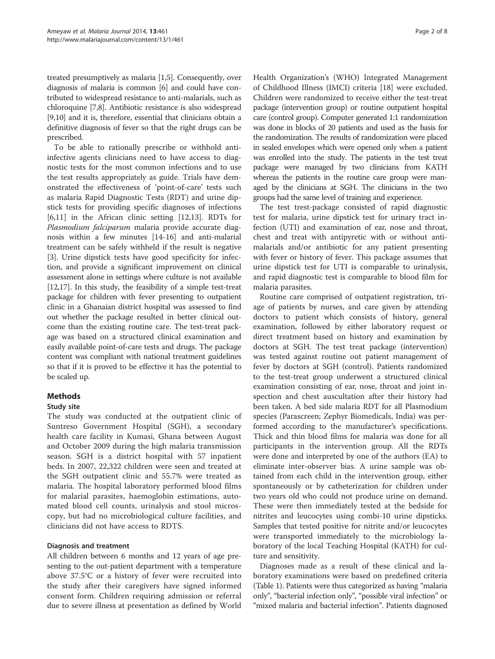treated presumptively as malaria [\[1](#page-6-0)[,5](#page-7-0)]. Consequently, over diagnosis of malaria is common [\[6](#page-7-0)] and could have contributed to widespread resistance to anti-malarials, such as chloroquine [\[7,8\]](#page-7-0). Antibiotic resistance is also widespread [[9,10](#page-7-0)] and it is, therefore, essential that clinicians obtain a definitive diagnosis of fever so that the right drugs can be prescribed.

To be able to rationally prescribe or withhold antiinfective agents clinicians need to have access to diagnostic tests for the most common infections and to use the test results appropriately as guide. Trials have demonstrated the effectiveness of 'point-of-care' tests such as malaria Rapid Diagnostic Tests (RDT) and urine dipstick tests for providing specific diagnoses of infections [[6,11\]](#page-7-0) in the African clinic setting [[12](#page-7-0),[13](#page-7-0)]. RDTs for Plasmodium falciparum malaria provide accurate diagnosis within a few minutes [\[14-16](#page-7-0)] and anti-malarial treatment can be safely withheld if the result is negative [[3\]](#page-7-0). Urine dipstick tests have good specificity for infection, and provide a significant improvement on clinical assessment alone in settings where culture is not available [[12,17](#page-7-0)]. In this study, the feasibility of a simple test-treat package for children with fever presenting to outpatient clinic in a Ghanaian district hospital was assessed to find out whether the package resulted in better clinical outcome than the existing routine care. The test-treat package was based on a structured clinical examination and easily available point-of-care tests and drugs. The package content was compliant with national treatment guidelines so that if it is proved to be effective it has the potential to be scaled up.

# Methods

# Study site

The study was conducted at the outpatient clinic of Suntreso Government Hospital (SGH), a secondary health care facility in Kumasi, Ghana between August and October 2009 during the high malaria transmission season. SGH is a district hospital with 57 inpatient beds. In 2007, 22,322 children were seen and treated at the SGH outpatient clinic and 55.7% were treated as malaria. The hospital laboratory performed blood films for malarial parasites, haemoglobin estimations, automated blood cell counts, urinalysis and stool microscopy, but had no microbiological culture facilities, and clinicians did not have access to RDTS.

# Diagnosis and treatment

All children between 6 months and 12 years of age presenting to the out-patient department with a temperature above 37.5°C or a history of fever were recruited into the study after their caregivers have signed informed consent form. Children requiring admission or referral due to severe illness at presentation as defined by World Health Organization's (WHO) Integrated Management of Childhood Illness (IMCI) criteria [[18](#page-7-0)] were excluded. Children were randomized to receive either the test-treat package (intervention group) or routine outpatient hospital care (control group). Computer generated 1:1 randomization was done in blocks of 20 patients and used as the basis for the randomization. The results of randomization were placed in sealed envelopes which were opened only when a patient was enrolled into the study. The patients in the test treat package were managed by two clinicians from KATH whereas the patients in the routine care group were managed by the clinicians at SGH. The clinicians in the two groups had the same level of training and experience.

The test trest-package consisted of rapid diagnostic test for malaria, urine dipstick test for urinary tract infection (UTI) and examination of ear, nose and throat, chest and treat with antipyretic with or without antimalarials and/or antibiotic for any patient presenting with fever or history of fever. This package assumes that urine dipstick test for UTI is comparable to urinalysis, and rapid diagnostic test is comparable to blood film for malaria parasites.

Routine care comprised of outpatient registration, triage of patients by nurses, and care given by attending doctors to patient which consists of history, general examination, followed by either laboratory request or direct treatment based on history and examination by doctors at SGH. The test treat package (intervention) was tested against routine out patient management of fever by doctors at SGH (control). Patients randomized to the test-treat group underwent a structured clinical examination consisting of ear, nose, throat and joint inspection and chest auscultation after their history had been taken. A bed side malaria RDT for all Plasmodium species (Parascreen; Zephyr Biomedicals, India) was performed according to the manufacturer's specifications. Thick and thin blood films for malaria was done for all participants in the intervention group. All the RDTs were done and interpreted by one of the authors (EA) to eliminate inter-observer bias. A urine sample was obtained from each child in the intervention group, either spontaneously or by catheterization for children under two years old who could not produce urine on demand. These were then immediately tested at the bedside for nitrites and leucocytes using combi-10 urine dipsticks. Samples that tested positive for nitrite and/or leucocytes were transported immediately to the microbiology laboratory of the local Teaching Hospital (KATH) for culture and sensitivity.

Diagnoses made as a result of these clinical and laboratory examinations were based on predefined criteria (Table [1\)](#page-2-0). Patients were thus categorized as having "malaria only", "bacterial infection only", "possible viral infection" or "mixed malaria and bacterial infection". Patients diagnosed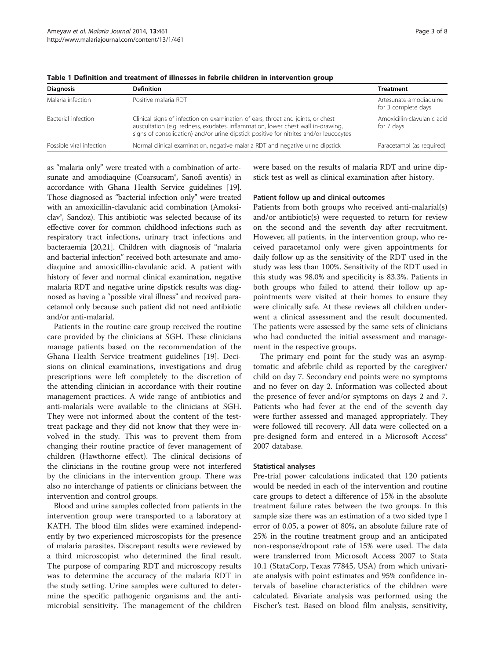| <b>Diagnosis</b>         | <b>Definition</b>                                                                                                                                                                                                                                            | <b>Treatment</b>                              |  |
|--------------------------|--------------------------------------------------------------------------------------------------------------------------------------------------------------------------------------------------------------------------------------------------------------|-----------------------------------------------|--|
| Malaria infection        | Positive malaria RDT                                                                                                                                                                                                                                         | Artesunate-amodiaguine<br>for 3 complete days |  |
| Bacterial infection      | Clinical signs of infection on examination of ears, throat and joints, or chest<br>auscultation (e.g. redness, exudates, inflammation, lower chest wall in-drawing,<br>signs of consolidation) and/or urine dipstick positive for nitrites and/or leucocytes | Amoxicillin-clavulanic acid<br>for 7 days     |  |
| Possible viral infection | Normal clinical examination, negative malaria RDT and negative urine dipstick                                                                                                                                                                                | Paracetamol (as required)                     |  |
|                          |                                                                                                                                                                                                                                                              |                                               |  |

<span id="page-2-0"></span>Table 1 Definition and treatment of illnesses in febrile children in intervention group

as "malaria only" were treated with a combination of artesunate and amodiaquine (Coarsucam®, Sanofi aventis) in accordance with Ghana Health Service guidelines [\[19](#page-7-0)]. Those diagnosed as "bacterial infection only" were treated with an amoxicillin-clavulanic acid combination (Amoksiclav®, Sandoz). This antibiotic was selected because of its effective cover for common childhood infections such as respiratory tract infections, urinary tract infections and bacteraemia [\[20,21\]](#page-7-0). Children with diagnosis of "malaria and bacterial infection" received both artesunate and amodiaquine and amoxicillin-clavulanic acid. A patient with history of fever and normal clinical examination, negative malaria RDT and negative urine dipstick results was diagnosed as having a "possible viral illness" and received paracetamol only because such patient did not need antibiotic and/or anti-malarial.

Patients in the routine care group received the routine care provided by the clinicians at SGH. These clinicians manage patients based on the recommendation of the Ghana Health Service treatment guidelines [\[19](#page-7-0)]. Decisions on clinical examinations, investigations and drug prescriptions were left completely to the discretion of the attending clinician in accordance with their routine management practices. A wide range of antibiotics and anti-malarials were available to the clinicians at SGH. They were not informed about the content of the testtreat package and they did not know that they were involved in the study. This was to prevent them from changing their routine practice of fever management of children (Hawthorne effect). The clinical decisions of the clinicians in the routine group were not interfered by the clinicians in the intervention group. There was also no interchange of patients or clinicians between the intervention and control groups.

Blood and urine samples collected from patients in the intervention group were transported to a laboratory at KATH. The blood film slides were examined independently by two experienced microscopists for the presence of malaria parasites. Discrepant results were reviewed by a third microscopist who determined the final result. The purpose of comparing RDT and microscopy results was to determine the accuracy of the malaria RDT in the study setting. Urine samples were cultured to determine the specific pathogenic organisms and the antimicrobial sensitivity. The management of the children were based on the results of malaria RDT and urine dipstick test as well as clinical examination after history.

#### Patient follow up and clinical outcomes

Patients from both groups who received anti-malarial(s) and/or antibiotic(s) were requested to return for review on the second and the seventh day after recruitment. However, all patients, in the intervention group, who received paracetamol only were given appointments for daily follow up as the sensitivity of the RDT used in the study was less than 100%. Sensitivity of the RDT used in this study was 98.0% and specificity is 83.3%. Patients in both groups who failed to attend their follow up appointments were visited at their homes to ensure they were clinically safe. At these reviews all children underwent a clinical assessment and the result documented. The patients were assessed by the same sets of clinicians who had conducted the initial assessment and management in the respective groups.

The primary end point for the study was an asymptomatic and afebrile child as reported by the caregiver/ child on day 7. Secondary end points were no symptoms and no fever on day 2. Information was collected about the presence of fever and/or symptoms on days 2 and 7. Patients who had fever at the end of the seventh day were further assessed and managed appropriately. They were followed till recovery. All data were collected on a pre-designed form and entered in a Microsoft Access<sup>®</sup> 2007 database.

#### Statistical analyses

Pre-trial power calculations indicated that 120 patients would be needed in each of the intervention and routine care groups to detect a difference of 15% in the absolute treatment failure rates between the two groups. In this sample size there was an estimation of a two sided type I error of 0.05, a power of 80%, an absolute failure rate of 25% in the routine treatment group and an anticipated non-response/dropout rate of 15% were used. The data were transferred from Microsoft Access 2007 to Stata 10.1 (StataCorp, Texas 77845, USA) from which univariate analysis with point estimates and 95% confidence intervals of baseline characteristics of the children were calculated. Bivariate analysis was performed using the Fischer's test. Based on blood film analysis, sensitivity,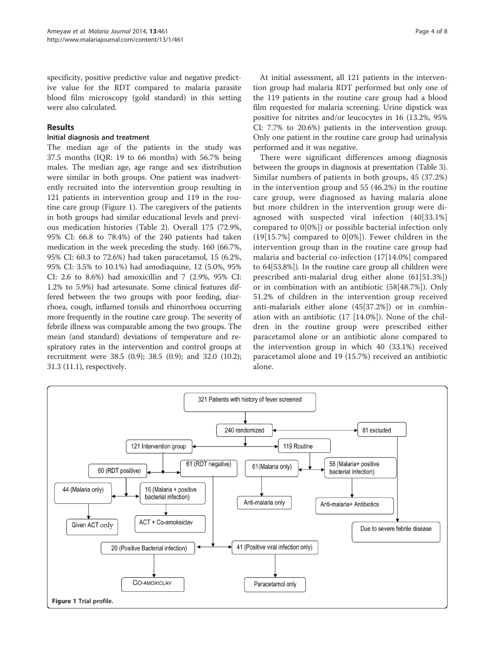specificity, positive predictive value and negative predictive value for the RDT compared to malaria parasite blood film microscopy (gold standard) in this setting were also calculated.

#### Results

#### Initial diagnosis and treatment

The median age of the patients in the study was 37.5 months (IQR: 19 to 66 months) with 56.7% being males. The median age, age range and sex distribution were similar in both groups. One patient was inadvertently recruited into the intervention group resulting in 121 patients in intervention group and 119 in the routine care group (Figure 1). The caregivers of the patients in both groups had similar educational levels and previous medication histories (Table [2\)](#page-4-0). Overall 175 (72.9%, 95% CI: 66.8 to 78.4%) of the 240 patients had taken medication in the week preceding the study. 160 (66.7%, 95% CI: 60.3 to 72.6%) had taken paracetamol, 15 (6.2%, 95% CI: 3.5% to 10.1%) had amodiaquine, 12 (5.0%, 95% CI: 2.6 to 8.6%) had amoxicillin and 7 (2.9%, 95% CI: 1.2% to 5.9%) had artesunate. Some clinical features differed between the two groups with poor feeding, diarrhoea, cough, inflamed tonsils and rhinorrhoea occurring more frequently in the routine care group. The severity of febrile illness was comparable among the two groups. The mean (and standard) deviations of temperature and respiratory rates in the intervention and control groups at recruitment were 38.5 (0.9); 38.5 (0.9); and 32.0 (10.2); 31.3 (11.1), respectively.

At initial assessment, all 121 patients in the intervention group had malaria RDT performed but only one of the 119 patients in the routine care group had a blood film requested for malaria screening. Urine dipstick was positive for nitrites and/or leucocytes in 16 (13.2%, 95% CI: 7.7% to 20.6%) patients in the intervention group. Only one patient in the routine care group had urinalysis performed and it was negative.

There were significant differences among diagnosis between the groups in diagnosis at presentation (Table [3](#page-5-0)). Similar numbers of patients in both groups, 45 (37.2%) in the intervention group and 55 (46.2%) in the routine care group, were diagnosed as having malaria alone but more children in the intervention group were diagnosed with suspected viral infection (40[33.1%] compared to 0[0%]) or possible bacterial infection only (19[15.7%] compared to 0[0%]). Fewer children in the intervention group than in the routine care group had malaria and bacterial co-infection (17[14.0%] compared to 64[53.8%]). In the routine care group all children were prescribed anti-malarial drug either alone (61[51.3%]) or in combination with an antibiotic (58[48.7%]). Only 51.2% of children in the intervention group received anti-malarials either alone (45[37.2%]) or in combination with an antibiotic (17 [14.0%]). None of the children in the routine group were prescribed either paracetamol alone or an antibiotic alone compared to the intervention group in which 40 (33.1%) received paracetamol alone and 19 (15.7%) received an antibiotic alone.

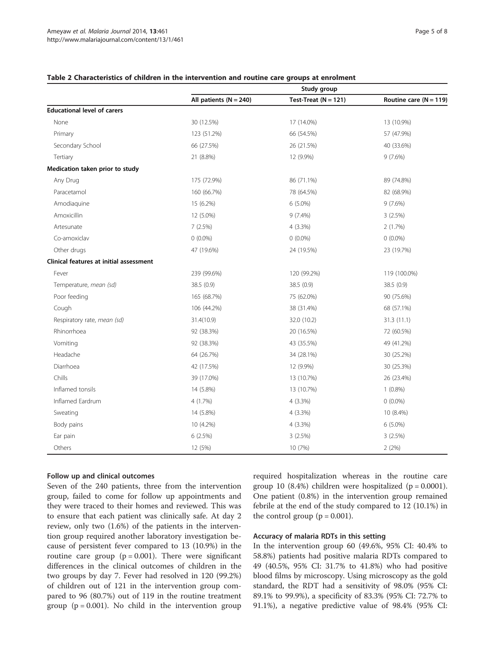|                                         | Study group              |                          |                            |  |
|-----------------------------------------|--------------------------|--------------------------|----------------------------|--|
|                                         | All patients $(N = 240)$ | Test-Treat ( $N = 121$ ) | Routine care ( $N = 119$ ) |  |
| <b>Educational level of carers</b>      |                          |                          |                            |  |
| None                                    | 30 (12.5%)               | 17 (14.0%)               | 13 (10.9%)                 |  |
| Primary                                 | 123 (51.2%)              | 66 (54.5%)               | 57 (47.9%)                 |  |
| Secondary School                        | 66 (27.5%)               | 26 (21.5%)               | 40 (33.6%)                 |  |
| Tertiary                                | 21 (8.8%)                | 12 (9.9%)                | $9(7.6\%)$                 |  |
| Medication taken prior to study         |                          |                          |                            |  |
| Any Drug                                | 175 (72.9%)              | 86 (71.1%)               | 89 (74.8%)                 |  |
| Paracetamol                             | 160 (66.7%)              | 78 (64.5%)               | 82 (68.9%)                 |  |
| Amodiaquine                             | 15 (6.2%)                | $6(5.0\%)$               | $9(7.6\%)$                 |  |
| Amoxicillin                             | 12 (5.0%)                | $9(7.4\%)$               | 3(2.5%)                    |  |
| Artesunate                              | 7(2.5%)                  | $4(3.3\%)$               | 2(1.7%)                    |  |
| Co-amoxiclav                            | $0(0.0\%)$               | $0(0.0\%)$               | $0(0.0\%)$                 |  |
| Other drugs                             | 47 (19.6%)               | 24 (19.5%)               | 23 (19.7%)                 |  |
| Clinical features at initial assessment |                          |                          |                            |  |
| Fever                                   | 239 (99.6%)              | 120 (99.2%)              | 119 (100.0%)               |  |
| Temperature, mean (sd)                  | 38.5 (0.9)               | 38.5 (0.9)               | 38.5 (0.9)                 |  |
| Poor feeding                            | 165 (68.7%)              | 75 (62.0%)               | 90 (75.6%)                 |  |
| Cough                                   | 106 (44.2%)              | 38 (31.4%)               | 68 (57.1%)                 |  |
| Respiratory rate, mean (sd)             | 31.4(10.9)               | 32.0 (10.2)              | 31.3(11.1)                 |  |
| Rhinorrhoea                             | 92 (38.3%)               | 20 (16.5%)               | 72 (60.5%)                 |  |
| Vomiting                                | 92 (38.3%)               | 43 (35.5%)               | 49 (41.2%)                 |  |
| Headache                                | 64 (26.7%)               | 34 (28.1%)               | 30 (25.2%)                 |  |
| Diarrhoea                               | 42 (17.5%)               | 12 (9.9%)                | 30 (25.3%)                 |  |
| Chills                                  | 39 (17.0%)               | 13 (10.7%)               | 26 (23.4%)                 |  |
| Inflamed tonsils                        | 14 (5.8%)                | 13 (10.7%)               | $1(0.8\%)$                 |  |
| Inflamed Eardrum                        | 4 (1.7%)                 | $4(3.3\%)$               | $0(0.0\%)$                 |  |
| Sweating                                | 14 (5.8%)                | $4(3.3\%)$               | 10 (8.4%)                  |  |
| Body pains                              | 10 (4.2%)                | $4(3.3\%)$               | $6(5.0\%)$                 |  |
| Ear pain                                | 6(2.5%)                  | 3(2.5%)                  | 3(2.5%)                    |  |
| Others                                  | 12 (5%)                  | 10 (7%)                  | 2(2%)                      |  |

#### <span id="page-4-0"></span>Table 2 Characteristics of children in the intervention and routine care groups at enrolment

#### Follow up and clinical outcomes

Seven of the 240 patients, three from the intervention group, failed to come for follow up appointments and they were traced to their homes and reviewed. This was to ensure that each patient was clinically safe. At day 2 review, only two (1.6%) of the patients in the intervention group required another laboratory investigation because of persistent fever compared to 13 (10.9%) in the routine care group  $(p = 0.001)$ . There were significant differences in the clinical outcomes of children in the two groups by day 7. Fever had resolved in 120 (99.2%) of children out of 121 in the intervention group compared to 96 (80.7%) out of 119 in the routine treatment group ( $p = 0.001$ ). No child in the intervention group required hospitalization whereas in the routine care group 10  $(8.4%)$  children were hospitalized  $(p = 0.0001)$ . One patient (0.8%) in the intervention group remained febrile at the end of the study compared to 12 (10.1%) in the control group ( $p = 0.001$ ).

# Accuracy of malaria RDTs in this setting

In the intervention group 60 (49.6%, 95% CI: 40.4% to 58.8%) patients had positive malaria RDTs compared to 49 (40.5%, 95% CI: 31.7% to 41.8%) who had positive blood films by microscopy. Using microscopy as the gold standard, the RDT had a sensitivity of 98.0% (95% CI: 89.1% to 99.9%), a specificity of 83.3% (95% CI: 72.7% to 91.1%), a negative predictive value of 98.4% (95% CI: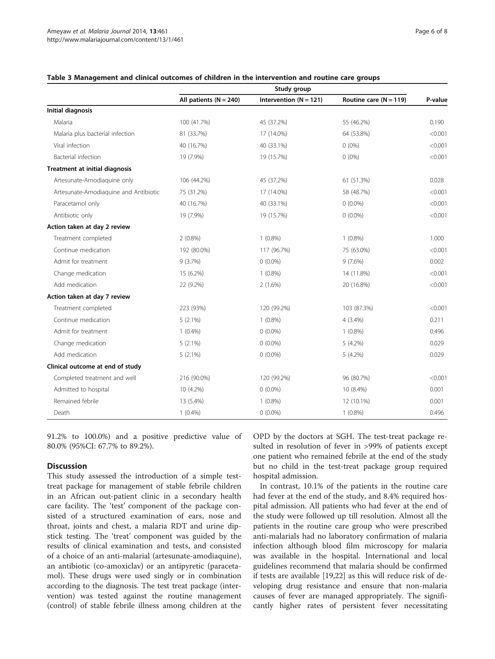|                                       | Study group              |                            |                          |         |
|---------------------------------------|--------------------------|----------------------------|--------------------------|---------|
|                                       | All patients $(N = 240)$ | Intervention ( $N = 121$ ) | Routine care $(N = 119)$ | P-value |
| <b>Initial diagnosis</b>              |                          |                            |                          |         |
| Malaria                               | 100 (41.7%)              | 45 (37.2%)                 | 55 (46.2%)               | 0.190   |
| Malaria plus bacterial infection      | 81 (33.7%)               | 17 (14.0%)                 | 64 (53.8%)               | < 0.001 |
| Viral infection                       | 40 (16.7%)               | 40 (33.1%)                 | $0(0\%)$                 | < 0.001 |
| Bacterial infection                   | 19 (7.9%)                | 19 (15.7%)                 | $0(0\%)$                 | < 0.001 |
| Treatment at initial diagnosis        |                          |                            |                          |         |
| Artesunate-Amodiaguine only           | 106 (44.2%)              | 45 (37.2%)                 | 61 (51.3%)               | 0.028   |
| Artesunate-Amodiaguine and Antibiotic | 75 (31.2%)               | 17 (14.0%)                 | 58 (48.7%)               | < 0.001 |
| Paracetamol only                      | 40 (16.7%)               | 40 (33.1%)                 | $0(0.0\%)$               | < 0.001 |
| Antibiotic only                       | 19 (7.9%)                | 19 (15.7%)                 | $0(0.0\%)$               | < 0.001 |
| Action taken at day 2 review          |                          |                            |                          |         |
| Treatment completed                   | $2(0.8\%)$               | $1(0.8\%)$                 | $1(0.8\%)$               | 1.000   |
| Continue medication                   | 192 (80.0%)              | 117 (96.7%)                | 75 (63.0%)               | < 0.001 |
| Admit for treatment                   | 9(3.7%)                  | $0(0.0\%)$                 | $9(7.6\%)$               | 0.002   |
| Change medication                     | 15 (6.2%)                | $1(0.8\%)$                 | 14 (11.8%)               | < 0.001 |
| Add medication                        | 22 (9.2%)                | 2(1.6%)                    | 20 (16.8%)               | < 0.001 |
| Action taken at day 7 review          |                          |                            |                          |         |
| Treatment completed                   | 223 (93%)                | 120 (99.2%)                | 103 (87.3%)              | < 0.001 |
| Continue medication                   | $5(2.1\%)$               | $1(0.8\%)$                 | $4(3.4\%)$               | 0.211   |
| Admit for treatment                   | $1(0.4\%)$               | $0(0.0\%)$                 | $1(0.8\%)$               | 0.496   |
| Change medication                     | $5(2.1\%)$               | $0(0.0\%)$                 | $5(4.2\%)$               | 0.029   |
| Add medication                        | $5(2.1\%)$               | $0(0.0\%)$                 | 5(4.2%)                  | 0.029   |
| Clinical outcome at end of study      |                          |                            |                          |         |
| Completed treatment and well          | 216 (90.0%)              | 120 (99.2%)                | 96 (80.7%)               | < 0.001 |
| Admitted to hospital                  | 10 (4.2%)                | $0(0.0\%)$                 | 10 (8.4%)                | 0.001   |
| Remained febrile                      | 13 (5.4%)                | $1(0.8\%)$                 | 12 (10.1%)               | 0.001   |
| Death                                 | $1(0.4\%)$               | $0(0.0\%)$                 | $1(0.8\%)$               | 0.496   |

#### <span id="page-5-0"></span>Table 3 Management and clinical outcomes of children in the intervention and routine care groups

91.2% to 100.0%) and a positive predictive value of 80.0% (95%CI: 67.7% to 89.2%).

# **Discussion**

This study assessed the introduction of a simple testtreat package for management of stable febrile children in an African out-patient clinic in a secondary health care facility. The 'test' component of the package consisted of a structured examination of ears, nose and throat, joints and chest, a malaria RDT and urine dipstick testing. The 'treat' component was guided by the results of clinical examination and tests, and consisted of a choice of an anti-malarial (artesunate-amodiaquine), an antibiotic (co-amoxiclav) or an antipyretic (paracetamol). These drugs were used singly or in combination according to the diagnosis. The test treat package (intervention) was tested against the routine management (control) of stable febrile illness among children at the OPD by the doctors at SGH. The test-treat package resulted in resolution of fever in >99% of patients except one patient who remained febrile at the end of the study but no child in the test-treat package group required hospital admission.

In contrast, 10.1% of the patients in the routine care had fever at the end of the study, and 8.4% required hospital admission. All patients who had fever at the end of the study were followed up till resolution. Almost all the patients in the routine care group who were prescribed anti-malarials had no laboratory confirmation of malaria infection although blood film microscopy for malaria was available in the hospital. International and local guidelines recommend that malaria should be confirmed if tests are available [\[19,22\]](#page-7-0) as this will reduce risk of developing drug resistance and ensure that non-malaria causes of fever are managed appropriately. The significantly higher rates of persistent fever necessitating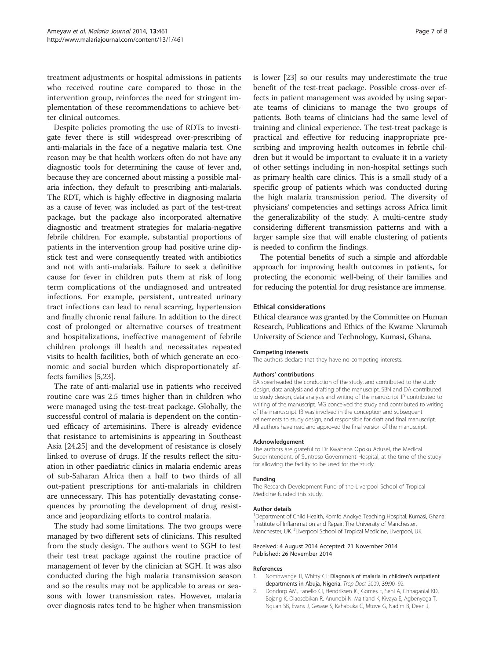<span id="page-6-0"></span>treatment adjustments or hospital admissions in patients who received routine care compared to those in the intervention group, reinforces the need for stringent implementation of these recommendations to achieve better clinical outcomes.

Despite policies promoting the use of RDTs to investigate fever there is still widespread over-prescribing of anti-malarials in the face of a negative malaria test. One reason may be that health workers often do not have any diagnostic tools for determining the cause of fever and, because they are concerned about missing a possible malaria infection, they default to prescribing anti-malarials. The RDT, which is highly effective in diagnosing malaria as a cause of fever, was included as part of the test-treat package, but the package also incorporated alternative diagnostic and treatment strategies for malaria-negative febrile children. For example, substantial proportions of patients in the intervention group had positive urine dipstick test and were consequently treated with antibiotics and not with anti-malarials. Failure to seek a definitive cause for fever in children puts them at risk of long term complications of the undiagnosed and untreated infections. For example, persistent, untreated urinary tract infections can lead to renal scarring, hypertension and finally chronic renal failure. In addition to the direct cost of prolonged or alternative courses of treatment and hospitalizations, ineffective management of febrile children prolongs ill health and necessitates repeated visits to health facilities, both of which generate an economic and social burden which disproportionately affects families [[5,23\]](#page-7-0).

The rate of anti-malarial use in patients who received routine care was 2.5 times higher than in children who were managed using the test-treat package. Globally, the successful control of malaria is dependent on the continued efficacy of artemisinins. There is already evidence that resistance to artemisinins is appearing in Southeast Asia [[24,25\]](#page-7-0) and the development of resistance is closely linked to overuse of drugs. If the results reflect the situation in other paediatric clinics in malaria endemic areas of sub-Saharan Africa then a half to two thirds of all out-patient prescriptions for anti-malarials in children are unnecessary. This has potentially devastating consequences by promoting the development of drug resistance and jeopardizing efforts to control malaria.

The study had some limitations. The two groups were managed by two different sets of clinicians. This resulted from the study design. The authors went to SGH to test their test treat package against the routine practice of management of fever by the clinician at SGH. It was also conducted during the high malaria transmission season and so the results may not be applicable to areas or seasons with lower transmission rates. However, malaria over diagnosis rates tend to be higher when transmission

is lower [\[23](#page-7-0)] so our results may underestimate the true benefit of the test-treat package. Possible cross-over effects in patient management was avoided by using separate teams of clinicians to manage the two groups of patients. Both teams of clinicians had the same level of training and clinical experience. The test-treat package is practical and effective for reducing inappropriate prescribing and improving health outcomes in febrile children but it would be important to evaluate it in a variety of other settings including in non-hospital settings such as primary health care clinics. This is a small study of a specific group of patients which was conducted during the high malaria transmission period. The diversity of physicians' competencies and settings across Africa limit the generalizability of the study. A multi-centre study considering different transmission patterns and with a larger sample size that will enable clustering of patients is needed to confirm the findings.

The potential benefits of such a simple and affordable approach for improving health outcomes in patients, for protecting the economic well-being of their families and for reducing the potential for drug resistance are immense.

#### Ethical considerations

Ethical clearance was granted by the Committee on Human Research, Publications and Ethics of the Kwame Nkrumah University of Science and Technology, Kumasi, Ghana.

#### Competing interests

The authors declare that they have no competing interests.

#### Authors' contributions

EA spearheaded the conduction of the study, and contributed to the study design, data analysis and drafting of the manuscript. SBN and DA contributed to study design, data analysis and writing of the manuscript. IP contributed to writing of the manuscript. MG conceived the study and contributed to writing of the manuscript. IB was involved in the conception and subsequent refinements to study design, and responsible for draft and final manuscript. All authors have read and approved the final version of the manuscript.

#### Acknowledgement

The authors are grateful to Dr Kwabena Opoku Adusei, the Medical Superintendent, of Suntreso Government Hospital, at the time of the study for allowing the facility to be used for the study.

#### Funding

The Research Development Fund of the Liverpool School of Tropical Medicine funded this study.

#### Author details

<sup>1</sup> Department of Child Health, Komfo Anokye Teaching Hospital, Kumasi, Ghana 2 Institute of Inflammation and Repair, The University of Manchester, Manchester, UK. <sup>3</sup> Liverpool School of Tropical Medicine, Liverpool, UK

#### Received: 4 August 2014 Accepted: 21 November 2014 Published: 26 November 2014

#### References

- 1. Nomhwange TI, Whitty CJ: Diagnosis of malaria in children's outpatient departments in Abuja, Nigeria. Trop Doct 2009, 39:90–92.
- 2. Dondorp AM, Fanello CI, Hendriksen IC, Gomes E, Seni A, Chhaganlal KD, Bojang K, Olaosebikan R, Anunobi N, Maitland K, Kivaya E, Agbenyega T, Nguah SB, Evans J, Gesase S, Kahabuka C, Mtove G, Nadjm B, Deen J,